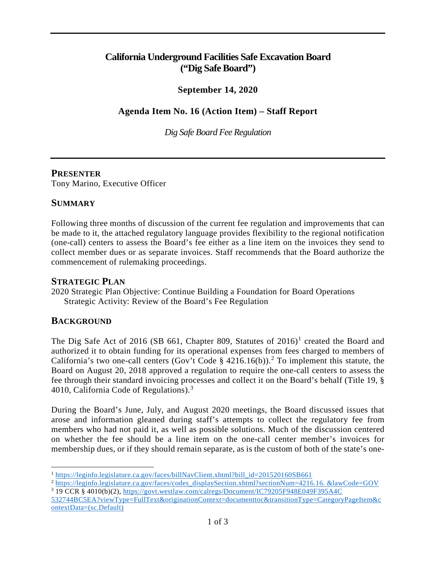# **California Underground Facilities Safe Excavation Board ("Dig Safe Board")**

# **September 14, 2020**

# **Agenda Item No. 16 (Action Item) – Staff Report**

*Dig Safe Board Fee Regulation*

#### **PRESENTER**

Tony Marino, Executive Officer

#### **SUMMARY**

Following three months of discussion of the current fee regulation and improvements that can be made to it, the attached regulatory language provides flexibility to the regional notification (one-call) centers to assess the Board's fee either as a line item on the invoices they send to collect member dues or as separate invoices. Staff recommends that the Board authorize the commencement of rulemaking proceedings.

#### **STRATEGIC PLAN**

2020 Strategic Plan Objective: Continue Building a Foundation for Board Operations Strategic Activity: Review of the Board's Fee Regulation

## **BACKGROUND**

The Dig Safe Act of 20[1](#page-0-0)6 (SB 661, Chapter 809, Statutes of  $2016$ )<sup>1</sup> created the Board and authorized it to obtain funding for its operational expenses from fees charged to members of California's two one-call centers (Gov't Code § 4[2](#page-0-1)16.16(b)).<sup>2</sup> To implement this statute, the Board on August 20, 2018 approved a regulation to require the one-call centers to assess the fee through their standard invoicing processes and collect it on the Board's behalf (Title 19, § 4010, California Code of Regulations). $3$ 

During the Board's June, July, and August 2020 meetings, the Board discussed issues that arose and information gleaned during staff's attempts to collect the regulatory fee from members who had not paid it, as well as possible solutions. Much of the discussion centered on whether the fee should be a line item on the one-call center member's invoices for membership dues, or if they should remain separate, as is the custom of both of the state's one-

<span id="page-0-1"></span><span id="page-0-0"></span><sup>&</sup>lt;sup>1</sup> https://leginfo.legislature.ca.gov/faces/billNavClient.xhtml?bill\_id=201520160SB661<br><sup>2</sup> [https://leginfo.legislature.ca.gov/faces/codes\\_displaySection.xhtml?sectionNum=4216.16.](https://leginfo.legislature.ca.gov/faces/codes_displaySection.xhtml?sectionNum=4216.16.&lawCode=GOV) &lawCode=GOV <sup>3</sup> 19 CCR § 4010(b)(2), [https://govt.westlaw.com/calregs/Document/IC79205F948E049F395A4C](https://govt.westlaw.com/calregs/Document/IC79205F948E049F395A4C532744BC5EA?viewType=FullText&originationContext=documenttoc&transitionType=CategoryPageItem&contextData=(sc.Default))

<span id="page-0-2"></span>[<sup>532744</sup>BC5EA?viewType=FullText&originationContext=documenttoc&transitionType=CategoryPageItem&c](https://govt.westlaw.com/calregs/Document/IC79205F948E049F395A4C532744BC5EA?viewType=FullText&originationContext=documenttoc&transitionType=CategoryPageItem&contextData=(sc.Default)) [ontextData=\(sc.Default\)](https://govt.westlaw.com/calregs/Document/IC79205F948E049F395A4C532744BC5EA?viewType=FullText&originationContext=documenttoc&transitionType=CategoryPageItem&contextData=(sc.Default))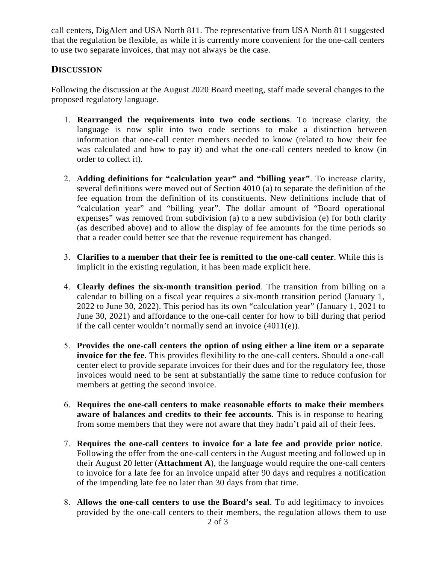call centers, DigAlert and USA North 811. The representative from USA North 811 suggested that the regulation be flexible, as while it is currently more convenient for the one-call centers to use two separate invoices, that may not always be the case.

# **DISCUSSION**

Following the discussion at the August 2020 Board meeting, staff made several changes to the proposed regulatory language.

- 1. **Rearranged the requirements into two code sections**. To increase clarity, the language is now split into two code sections to make a distinction between information that one-call center members needed to know (related to how their fee was calculated and how to pay it) and what the one-call centers needed to know (in order to collect it).
- 2. **Adding definitions for "calculation year" and "billing year"**. To increase clarity, several definitions were moved out of Section 4010 (a) to separate the definition of the fee equation from the definition of its constituents. New definitions include that of "calculation year" and "billing year". The dollar amount of "Board operational expenses" was removed from subdivision (a) to a new subdivision (e) for both clarity (as described above) and to allow the display of fee amounts for the time periods so that a reader could better see that the revenue requirement has changed.
- 3. **Clarifies to a member that their fee is remitted to the one-call center**. While this is implicit in the existing regulation, it has been made explicit here.
- 4. **Clearly defines the six-month transition period**. The transition from billing on a calendar to billing on a fiscal year requires a six-month transition period (January 1, 2022 to June 30, 2022). This period has its own "calculation year" (January 1, 2021 to June 30, 2021) and affordance to the one-call center for how to bill during that period if the call center wouldn't normally send an invoice (4011(e)).
- 5. **Provides the one-call centers the option of using either a line item or a separate invoice for the fee**. This provides flexibility to the one-call centers. Should a one-call center elect to provide separate invoices for their dues and for the regulatory fee, those invoices would need to be sent at substantially the same time to reduce confusion for members at getting the second invoice.
- 6. **Requires the one-call centers to make reasonable efforts to make their members aware of balances and credits to their fee accounts**. This is in response to hearing from some members that they were not aware that they hadn't paid all of their fees.
- 7. **Requires the one-call centers to invoice for a late fee and provide prior notice**. Following the offer from the one-call centers in the August meeting and followed up in their August 20 letter (**Attachment A**), the language would require the one-call centers to invoice for a late fee for an invoice unpaid after 90 days and requires a notification of the impending late fee no later than 30 days from that time.
- 8. **Allows the one-call centers to use the Board's seal**. To add legitimacy to invoices provided by the one-call centers to their members, the regulation allows them to use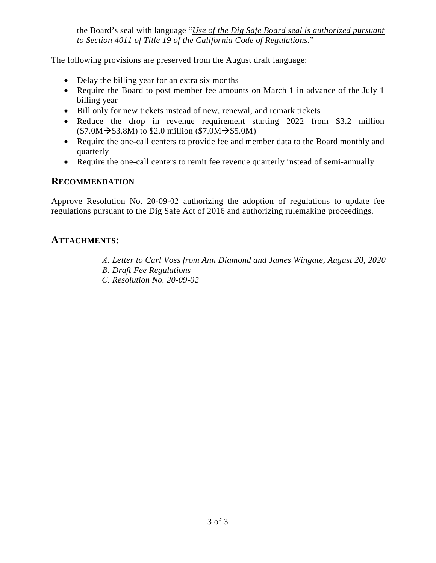the Board's seal with language "*Use of the Dig Safe Board seal is authorized pursuant to Section 4011 of Title 19 of the California Code of Regulations.*"

The following provisions are preserved from the August draft language:

- Delay the billing year for an extra six months
- Require the Board to post member fee amounts on March 1 in advance of the July 1 billing year
- Bill only for new tickets instead of new, renewal, and remark tickets
- Reduce the drop in revenue requirement starting 2022 from \$3.2 million  $($7.0M \rightarrow $3.8M)$  to \$2.0 million  $($7.0M \rightarrow $5.0M)$
- Require the one-call centers to provide fee and member data to the Board monthly and quarterly
- Require the one-call centers to remit fee revenue quarterly instead of semi-annually

## **RECOMMENDATION**

Approve Resolution No. 20-09-02 authorizing the adoption of regulations to update fee regulations pursuant to the Dig Safe Act of 2016 and authorizing rulemaking proceedings.

## **ATTACHMENTS:**

- *A. Letter to Carl Voss from Ann Diamond and James Wingate, August 20, 2020*
- *B. Draft Fee Regulations*
- *C. Resolution No. 20-09-02*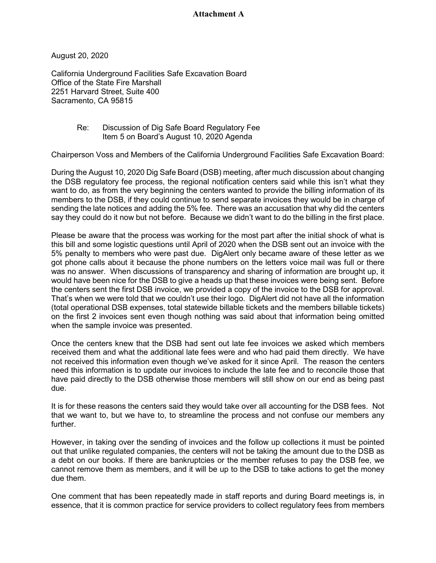#### **Attachment A**

August 20, 2020

California Underground Facilities Safe Excavation Board Office of the State Fire Marshall 2251 Harvard Street, Suite 400 Sacramento, CA 95815

> Re: Discussion of Dig Safe Board Regulatory Fee Item 5 on Board's August 10, 2020 Agenda

Chairperson Voss and Members of the California Underground Facilities Safe Excavation Board:

During the August 10, 2020 Dig Safe Board (DSB) meeting, after much discussion about changing the DSB regulatory fee process, the regional notification centers said while this isn't what they want to do, as from the very beginning the centers wanted to provide the billing information of its members to the DSB, if they could continue to send separate invoices they would be in charge of sending the late notices and adding the 5% fee. There was an accusation that why did the centers say they could do it now but not before. Because we didn't want to do the billing in the first place.

Please be aware that the process was working for the most part after the initial shock of what is this bill and some logistic questions until April of 2020 when the DSB sent out an invoice with the 5% penalty to members who were past due. DigAlert only became aware of these letter as we got phone calls about it because the phone numbers on the letters voice mail was full or there was no answer. When discussions of transparency and sharing of information are brought up, it would have been nice for the DSB to give a heads up that these invoices were being sent. Before the centers sent the first DSB invoice, we provided a copy of the invoice to the DSB for approval. That's when we were told that we couldn't use their logo. DigAlert did not have all the information (total operational DSB expenses, total statewide billable tickets and the members billable tickets) on the first 2 invoices sent even though nothing was said about that information being omitted when the sample invoice was presented.

Once the centers knew that the DSB had sent out late fee invoices we asked which members received them and what the additional late fees were and who had paid them directly. We have not received this information even though we've asked for it since April. The reason the centers need this information is to update our invoices to include the late fee and to reconcile those that have paid directly to the DSB otherwise those members will still show on our end as being past due.

It is for these reasons the centers said they would take over all accounting for the DSB fees. Not that we want to, but we have to, to streamline the process and not confuse our members any further.

However, in taking over the sending of invoices and the follow up collections it must be pointed out that unlike regulated companies, the centers will not be taking the amount due to the DSB as a debt on our books. If there are bankruptcies or the member refuses to pay the DSB fee, we cannot remove them as members, and it will be up to the DSB to take actions to get the money due them.

One comment that has been repeatedly made in staff reports and during Board meetings is, in essence, that it is common practice for service providers to collect regulatory fees from members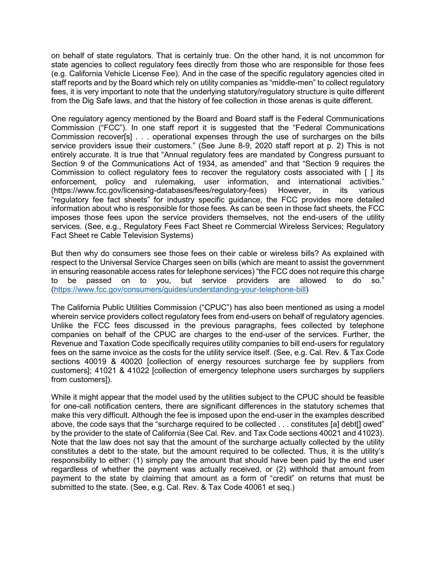on behalf of state regulators. That is certainly true. On the other hand, it is not uncommon for state agencies to collect regulatory fees directly from those who are responsible for those fees (e.g. California Vehicle License Fee). And in the case of the specific regulatory agencies cited in staff reports and by the Board which rely on utility companies as "middle-men" to collect regulatory fees, it is very important to note that the underlying statutory/regulatory structure is quite different from the Dig Safe laws, and that the history of fee collection in those arenas is quite different.

One regulatory agency mentioned by the Board and Board staff is the Federal Communications Commission ("FCC"). In one staff report it is suggested that the "Federal Communications Commission recover[s] . . . operational expenses through the use of surcharges on the bills service providers issue their customers." (See June 8-9, 2020 staff report at p. 2) This is not entirely accurate. It is true that "Annual regulatory fees are mandated by Congress pursuant to Section 9 of the Communications Act of 1934, as amended" and that "Section 9 requires the Commission to collect regulatory fees to recover the regulatory costs associated with [ ] its enforcement, policy and rulemaking, user information, and international activities." (https://www.fcc.gov/licensing-databases/fees/regulatory-fees) However, in its various "regulatory fee fact sheets" for industry specific guidance, the FCC provides more detailed information about who is responsible for those fees. As can be seen in those fact sheets, the FCC imposes those fees upon the service providers themselves, not the end-users of the utility services. (See, e.g., Regulatory Fees Fact Sheet re Commercial Wireless Services; Regulatory Fact Sheet re Cable Television Systems)

But then why do consumers see those fees on their cable or wireless bills? As explained with respect to the Universal Service Charges seen on bills (which are meant to assist the government in ensuring reasonable access rates for telephone services) "the FCC does not require this charge to be passed on to you, but service providers are allowed to do so." [\(https://www.fcc.gov/consumers/guides/understanding-your-telephone-bill\)](https://www.fcc.gov/consumers/guides/understanding-your-telephone-bill)

The California Public Utilities Commission ("CPUC") has also been mentioned as using a model wherein service providers collect regulatory fees from end-users on behalf of regulatory agencies. Unlike the FCC fees discussed in the previous paragraphs, fees collected by telephone companies on behalf of the CPUC are charges to the end-user of the services. Further, the Revenue and Taxation Code specifically requires utility companies to bill end-users for regulatory fees on the same invoice as the costs for the utility service itself. (See, e.g. Cal. Rev. & Tax Code sections 40019 & 40020 [collection of energy resources surcharge fee by suppliers from customers]; 41021 & 41022 [collection of emergency telephone users surcharges by suppliers from customers]).

While it might appear that the model used by the utilities subject to the CPUC should be feasible for one-call notification centers, there are significant differences in the statutory schemes that make this very difficult. Although the fee is imposed upon the end-user in the examples described above, the code says that the "surcharge required to be collected . . . constitutes [a] debt[] owed" by the provider to the state of California (See Cal. Rev. and Tax Code sections 40021 and 41023). Note that the law does not say that the amount of the surcharge actually collected by the utility constitutes a debt to the state, but the amount required to be collected. Thus, it is the utility's responsibility to either: (1) simply pay the amount that should have been paid by the end user regardless of whether the payment was actually received, or (2) withhold that amount from payment to the state by claiming that amount as a form of "credit" on returns that must be submitted to the state. (See, e.g. Cal. Rev. & Tax Code 40061 et seq.)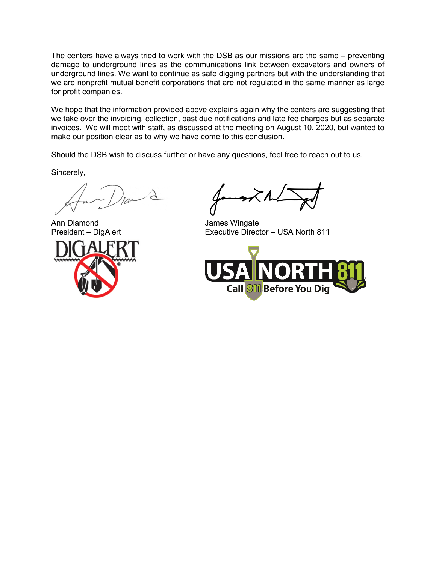The centers have always tried to work with the DSB as our missions are the same – preventing damage to underground lines as the communications link between excavators and owners of underground lines. We want to continue as safe digging partners but with the understanding that we are nonprofit mutual benefit corporations that are not regulated in the same manner as large for profit companies.

We hope that the information provided above explains again why the centers are suggesting that we take over the invoicing, collection, past due notifications and late fee charges but as separate invoices. We will meet with staff, as discussed at the meeting on August 10, 2020, but wanted to make our position clear as to why we have come to this conclusion.

Should the DSB wish to discuss further or have any questions, feel free to reach out to us.

Sincerely,

Ann Diamond James Wingate

Executive Director – USA North 811

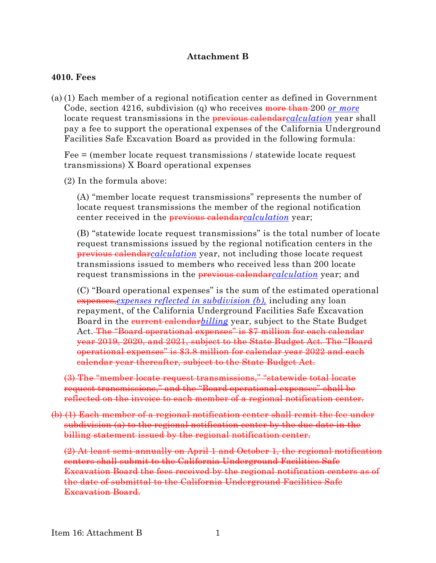## **Attachment B**

#### **4010. Fees**

(a) (1) Each member of a regional notification center as defined in Government Code, section 4216, subdivision (q) who receives more than 200 *or more*  locate request transmissions in the previous calendar*calculation* year shall pay a fee to support the operational expenses of the California Underground Facilities Safe Excavation Board as provided in the following formula:

Fee = (member locate request transmissions / statewide locate request transmissions) X Board operational expenses

(2) In the formula above:

(A) "member locate request transmissions" represents the number of locate request transmissions the member of the regional notification center received in the previous calendar*calculation* year;

(B) "statewide locate request transmissions" is the total number of locate request transmissions issued by the regional notification centers in the previous calendar*calculation* year, not including those locate request transmissions issued to members who received less than 200 locate request transmissions in the previous calendar*calculation* year; and

(C) "Board operational expenses" is the sum of the estimated operational expenses,*expenses reflected in subdivision (b),* including any loan repayment, of the California Underground Facilities Safe Excavation Board in the *current calendarbilling* year, subject to the State Budget Act. The "Board operational expenses" is \$7 million for each calendar year 2019, 2020, and 2021, subject to the State Budget Act. The "Board operational expenses" is \$3.8 million for calendar year 2022 and each calendar year thereafter, subject to the State Budget Act.

(3) The "member locate request transmissions," "statewide total locate request transmissions," and the "Board operational expenses" shall be reflected on the invoice to each member of a regional notification center.

(b) (1) Each member of a regional notification center shall remit the fee under subdivision (a) to the regional notification center by the due date in the billing statement issued by the regional notification center.

(2) At least semi-annually on April 1 and October 1, the regional notification centers shall submit to the California Underground Facilities Safe Excavation Board the fees received by the regional notification centers as of the date of submittal to the California Underground Facilities Safe Excavation Board.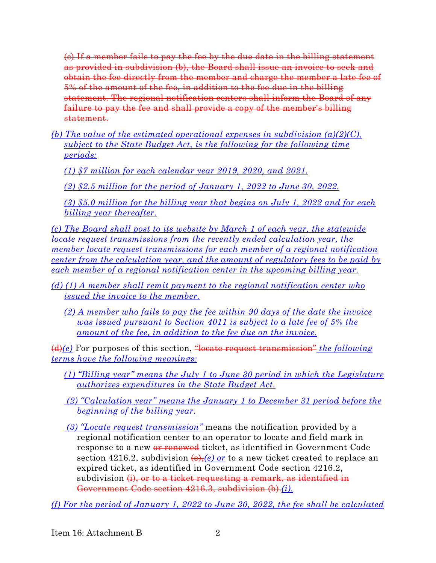(c) If a member fails to pay the fee by the due date in the billing statement as provided in subdivision (b), the Board shall issue an invoice to seek and obtain the fee directly from the member and charge the member a late fee of 5% of the amount of the fee, in addition to the fee due in the billing statement. The regional notification centers shall inform the Board of any failure to pay the fee and shall provide a copy of the member's billing statement.

*(b) The value of the estimated operational expenses in subdivision (a)(2)(C), subject to the State Budget Act, is the following for the following time periods:*

*(1) \$7 million for each calendar year 2019, 2020, and 2021.* 

*(2) \$2.5 million for the period of January 1, 2022 to June 30, 2022.*

*(3) \$5.0 million for the billing year that begins on July 1, 2022 and for each billing year thereafter.*

*(c) The Board shall post to its website by March 1 of each year, the statewide locate request transmissions from the recently ended calculation year, the member locate request transmissions for each member of a regional notification center from the calculation year, and the amount of regulatory fees to be paid by each member of a regional notification center in the upcoming billing year.*

- *(d) (1) A member shall remit payment to the regional notification center who issued the invoice to the member.*
	- *(2) A member who fails to pay the fee within 90 days of the date the invoice was issued pursuant to Section 4011 is subject to a late fee of 5% the amount of the fee, in addition to the fee due on the invoice.*

(d)*(e)* For purposes of this section, "locate request transmission" *the following terms have the following meanings:*

- *(1) "Billing year" means the July 1 to June 30 period in which the Legislature authorizes expenditures in the State Budget Act.*
- *(2) "Calculation year" means the January 1 to December 31 period before the beginning of the billing year.*
- *(3) "Locate request transmission"* means the notification provided by a regional notification center to an operator to locate and field mark in response to a new <del>or renewed</del> ticket, as identified in Government Code section 4216.2, subdivision  $\left(\theta\right),\left(\theta\right)$  or to a new ticket created to replace an expired ticket, as identified in Government Code section 4216.2, subdivision (i), or to a ticket requesting a remark, as identified in Government Code section 4216.3, subdivision (b).*(i).*

*(f) For the period of January 1, 2022 to June 30, 2022, the fee shall be calculated*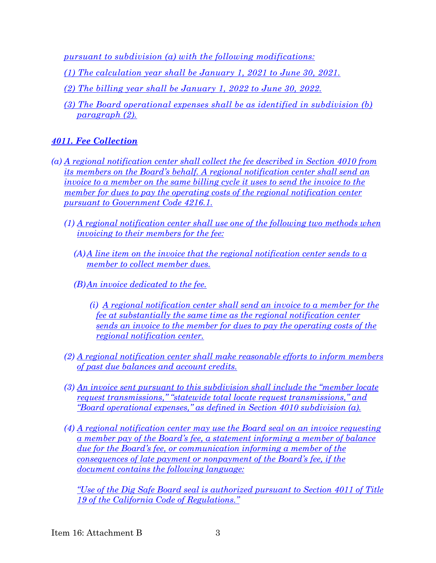*pursuant to subdivision (a) with the following modifications:*

- *(1) The calculation year shall be January 1, 2021 to June 30, 2021.*
- *(2) The billing year shall be January 1, 2022 to June 30, 2022.*
- *(3) The Board operational expenses shall be as identified in subdivision (b) paragraph (2).*

# *4011. Fee Collection*

- *(a) A regional notification center shall collect the fee described in Section 4010 from its members on the Board's behalf. A regional notification center shall send an invoice to a member on the same billing cycle it uses to send the invoice to the member for dues to pay the operating costs of the regional notification center pursuant to Government Code 4216.1.* 
	- *(1) A regional notification center shall use one of the following two methods when invoicing to their members for the fee:* 
		- *(A)A line item on the invoice that the regional notification center sends to a member to collect member dues.*
		- *(B)An invoice dedicated to the fee.*
			- *(i) A regional notification center shall send an invoice to a member for the fee at substantially the same time as the regional notification center sends an invoice to the member for dues to pay the operating costs of the regional notification center.*
	- *(2) A regional notification center shall make reasonable efforts to inform members of past due balances and account credits.*
	- *(3) An invoice sent pursuant to this subdivision shall include the "member locate request transmissions," "statewide total locate request transmissions," and "Board operational expenses," as defined in Section 4010 subdivision (a).*
	- *(4) A regional notification center may use the Board seal on an invoice requesting a member pay of the Board's fee, a statement informing a member of balance due for the Board's fee, or communication informing a member of the consequences of late payment or nonpayment of the Board's fee, if the document contains the following language:*

*"Use of the Dig Safe Board seal is authorized pursuant to Section 4011 of Title 19 of the California Code of Regulations."*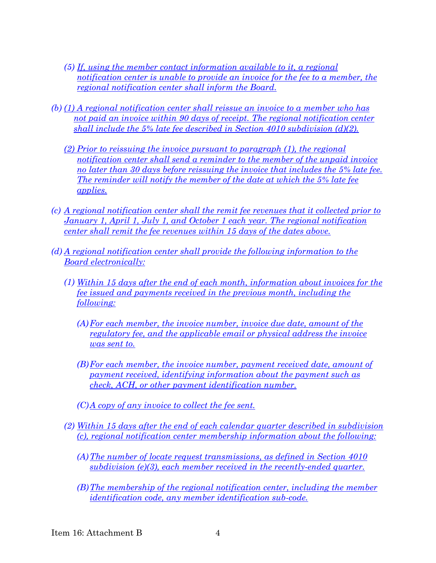- *(5) If, using the member contact information available to it, a regional notification center is unable to provide an invoice for the fee to a member, the regional notification center shall inform the Board.*
- *(b) (1) A regional notification center shall reissue an invoice to a member who has not paid an invoice within 90 days of receipt. The regional notification center shall include the 5% late fee described in Section 4010 subdivision (d)(2).* 
	- *(2) Prior to reissuing the invoice pursuant to paragraph (1), the regional notification center shall send a reminder to the member of the unpaid invoice no later than 30 days before reissuing the invoice that includes the 5% late fee. The reminder will notify the member of the date at which the 5% late fee applies.*
- *(c) A regional notification center shall the remit fee revenues that it collected prior to January 1, April 1, July 1, and October 1 each year. The regional notification center shall remit the fee revenues within 15 days of the dates above.*
- *(d) A regional notification center shall provide the following information to the Board electronically:*
	- *(1) Within 15 days after the end of each month, information about invoices for the fee issued and payments received in the previous month, including the following:*
		- *(A)For each member, the invoice number, invoice due date, amount of the regulatory fee, and the applicable email or physical address the invoice was sent to.*
		- *(B)For each member, the invoice number, payment received date, amount of payment received, identifying information about the payment such as check, ACH, or other payment identification number.*
		- *(C)A copy of any invoice to collect the fee sent.*
	- *(2) Within 15 days after the end of each calendar quarter described in subdivision (c), regional notification center membership information about the following:* 
		- *(A)The number of locate request transmissions, as defined in Section 4010 subdivision (e)(3), each member received in the recently-ended quarter.*
		- *(B)The membership of the regional notification center, including the member identification code, any member identification sub-code.*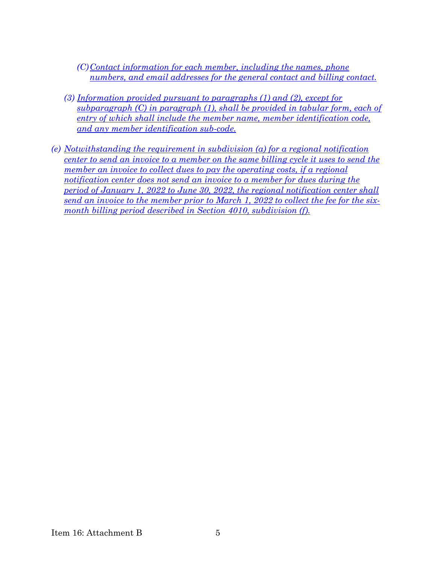*(C)Contact information for each member, including the names, phone numbers, and email addresses for the general contact and billing contact.*

- *(3) Information provided pursuant to paragraphs (1) and (2), except for subparagraph (C) in paragraph (1), shall be provided in tabular form, each of entry of which shall include the member name, member identification code, and any member identification sub-code.*
- *(e) Notwithstanding the requirement in subdivision (a) for a regional notification center to send an invoice to a member on the same billing cycle it uses to send the member an invoice to collect dues to pay the operating costs, if a regional notification center does not send an invoice to a member for dues during the period of January 1, 2022 to June 30, 2022, the regional notification center shall send an invoice to the member prior to March 1, 2022 to collect the fee for the sixmonth billing period described in Section 4010, subdivision (f).*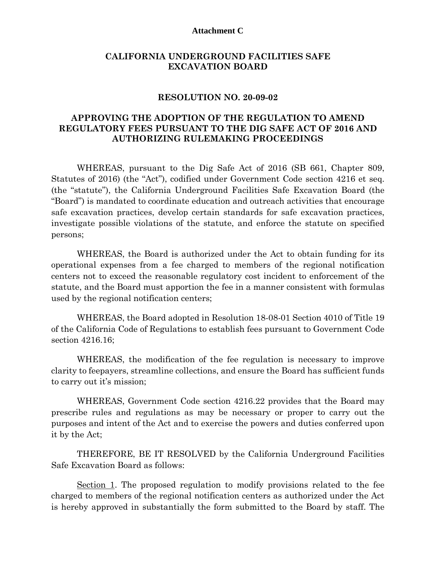#### **Attachment C**

#### **CALIFORNIA UNDERGROUND FACILITIES SAFE EXCAVATION BOARD**

#### **RESOLUTION NO. 20-09-02**

#### **APPROVING THE ADOPTION OF THE REGULATION TO AMEND REGULATORY FEES PURSUANT TO THE DIG SAFE ACT OF 2016 AND AUTHORIZING RULEMAKING PROCEEDINGS**

WHEREAS, pursuant to the Dig Safe Act of 2016 (SB 661, Chapter 809, Statutes of 2016) (the "Act"), codified under Government Code section 4216 et seq. (the "statute"), the California Underground Facilities Safe Excavation Board (the "Board") is mandated to coordinate education and outreach activities that encourage safe excavation practices, develop certain standards for safe excavation practices, investigate possible violations of the statute, and enforce the statute on specified persons;

WHEREAS, the Board is authorized under the Act to obtain funding for its operational expenses from a fee charged to members of the regional notification centers not to exceed the reasonable regulatory cost incident to enforcement of the statute, and the Board must apportion the fee in a manner consistent with formulas used by the regional notification centers;

WHEREAS, the Board adopted in Resolution 18-08-01 Section 4010 of Title 19 of the California Code of Regulations to establish fees pursuant to Government Code section 4216.16;

WHEREAS, the modification of the fee regulation is necessary to improve clarity to feepayers, streamline collections, and ensure the Board has sufficient funds to carry out it's mission;

WHEREAS, Government Code section 4216.22 provides that the Board may prescribe rules and regulations as may be necessary or proper to carry out the purposes and intent of the Act and to exercise the powers and duties conferred upon it by the Act;

THEREFORE, BE IT RESOLVED by the California Underground Facilities Safe Excavation Board as follows:

Section 1. The proposed regulation to modify provisions related to the fee charged to members of the regional notification centers as authorized under the Act is hereby approved in substantially the form submitted to the Board by staff. The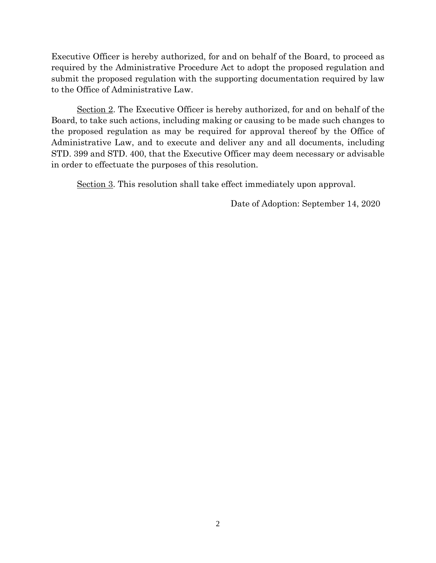Executive Officer is hereby authorized, for and on behalf of the Board, to proceed as required by the Administrative Procedure Act to adopt the proposed regulation and submit the proposed regulation with the supporting documentation required by law to the Office of Administrative Law.

Section 2. The Executive Officer is hereby authorized, for and on behalf of the Board, to take such actions, including making or causing to be made such changes to the proposed regulation as may be required for approval thereof by the Office of Administrative Law, and to execute and deliver any and all documents, including STD. 399 and STD. 400, that the Executive Officer may deem necessary or advisable in order to effectuate the purposes of this resolution.

Section 3. This resolution shall take effect immediately upon approval.

Date of Adoption: September 14, 2020